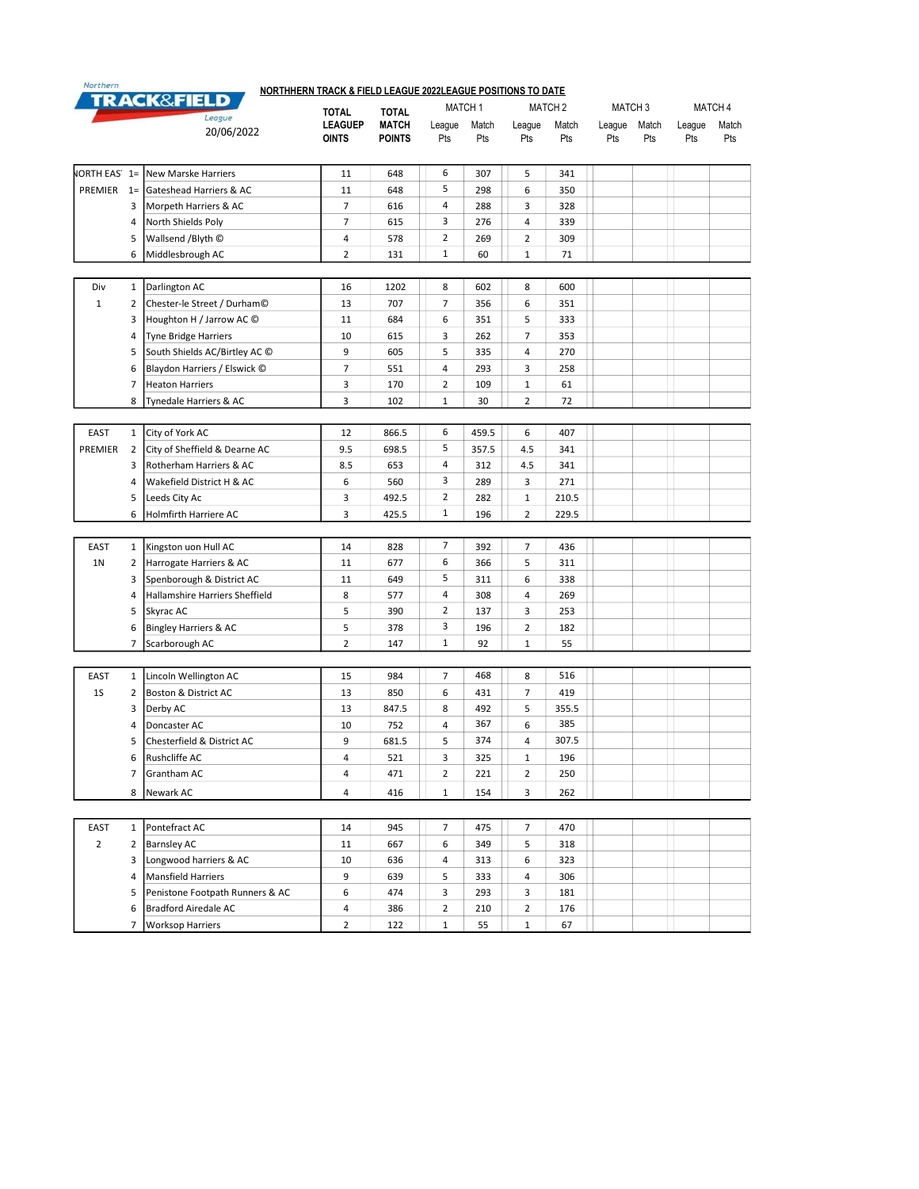|                     |                | <b>TRACK&amp;FIELD</b>          | <b>TOTAL</b>                   | <b>TOTAL</b>                  | MATCH <sub>2</sub><br><b>MATCH 1</b> |              |                |              | MATCH <sub>3</sub> |              |               | MATCH 4      |  |
|---------------------|----------------|---------------------------------|--------------------------------|-------------------------------|--------------------------------------|--------------|----------------|--------------|--------------------|--------------|---------------|--------------|--|
|                     |                | League<br>20/06/2022            | <b>LEAGUEP</b><br><b>OINTS</b> | <b>MATCH</b><br><b>POINTS</b> | League<br>Pts                        | Match<br>Pts | League<br>Pts  | Match<br>Pts | League<br>Pts      | Match<br>Pts | League<br>Pts | Match<br>Pts |  |
| <b>NORTH EAS</b> 1= |                | New Marske Harriers             | 11                             | 648                           | 6                                    | 307          | 5              | 341          |                    |              |               |              |  |
| PREMIER 1=          |                | Gateshead Harriers & AC         | 11                             | 648                           | 5                                    | 298          | 6              | 350          |                    |              |               |              |  |
|                     | 3              | Morpeth Harriers & AC           | $\overline{7}$                 | 616                           | 4                                    | 288          | 3              | 328          |                    |              |               |              |  |
|                     | 4              | North Shields Poly              | $\overline{7}$                 | 615                           | 3                                    | 276          | 4              | 339          |                    |              |               |              |  |
|                     | 5              | Wallsend /Blyth ©               | 4                              | 578                           | 2                                    | 269          | $\overline{2}$ | 309          |                    |              |               |              |  |
|                     | 6              | Middlesbrough AC                | $\overline{2}$                 | 131                           | $\mathbf{1}$                         | 60           | 1              | 71           |                    |              |               |              |  |
|                     |                |                                 |                                |                               |                                      |              |                |              |                    |              |               |              |  |
| Div                 | $\mathbf{1}$   | Darlington AC                   | 16                             | 1202                          | 8                                    | 602          | 8              | 600          |                    |              |               |              |  |
| $\mathbf{1}$        | 2              | Chester-le Street / Durham©     | 13                             | 707                           | $\overline{7}$                       | 356          | 6              | 351          |                    |              |               |              |  |
|                     | 3              | Houghton H / Jarrow AC ©        | 11                             | 684                           | 6                                    | 351          | 5              | 333          |                    |              |               |              |  |
|                     | 4              | Tyne Bridge Harriers            | 10                             | 615                           | 3                                    | 262          | $\overline{7}$ | 353          |                    |              |               |              |  |
|                     | 5              | South Shields AC/Birtley AC C   | 9                              | 605                           | 5                                    | 335          | 4              | 270          |                    |              |               |              |  |
|                     | 6              | Blaydon Harriers / Elswick ©    | $\overline{7}$                 | 551                           | $\overline{4}$                       | 293          | 3              | 258          |                    |              |               |              |  |
|                     | 7              | <b>Heaton Harriers</b>          | 3                              | 170                           | $\overline{2}$                       | 109          | $1\,$          | 61           |                    |              |               |              |  |
|                     | 8              | Tynedale Harriers & AC          | 3                              | 102                           | $\mathbf{1}$                         | 30           | 2              | 72           |                    |              |               |              |  |
|                     |                |                                 |                                |                               |                                      |              |                |              |                    |              |               |              |  |
| EAST                | $\mathbf{1}$   | City of York AC                 | 12                             | 866.5                         | 6                                    | 459.5        | 6              | 407          |                    |              |               |              |  |
| PREMIER             | 2              | City of Sheffield & Dearne AC   | 9.5                            | 698.5                         | 5                                    | 357.5        | 4.5            | 341          |                    |              |               |              |  |
|                     | 3              | Rotherham Harriers & AC         | 8.5                            | 653                           | 4                                    | 312          | 4.5            | 341          |                    |              |               |              |  |
|                     | 4              | Wakefield District H & AC       | 6                              | 560                           | 3                                    | 289          | 3              | 271          |                    |              |               |              |  |
|                     | 5              | Leeds City Ac                   | 3                              | 492.5                         | $\overline{2}$                       | 282          | 1              | 210.5        |                    |              |               |              |  |
|                     | 6              | Holmfirth Harriere AC           | 3                              | 425.5                         | $\mathbf{1}$                         | 196          | 2              | 229.5        |                    |              |               |              |  |
|                     |                |                                 |                                |                               |                                      |              |                |              |                    |              |               |              |  |
| <b>EAST</b>         | $\mathbf{1}$   | Kingston uon Hull AC            | 14                             | 828                           | $\overline{7}$                       | 392          | $\overline{7}$ | 436          |                    |              |               |              |  |
| 1 <sub>N</sub>      | 2              | Harrogate Harriers & AC         | 11                             | 677                           | 6                                    | 366          | 5              | 311          |                    |              |               |              |  |
|                     | 3              | Spenborough & District AC       | 11                             | 649                           | 5                                    | 311          | 6              | 338          |                    |              |               |              |  |
|                     | 4              | Hallamshire Harriers Sheffield  | 8                              | 577                           | 4                                    | 308          | 4              | 269          |                    |              |               |              |  |
|                     | 5              | Skyrac AC                       | 5                              | 390                           | $\overline{2}$                       | 137          | 3              | 253          |                    |              |               |              |  |
|                     | 6              | Bingley Harriers & AC           | 5                              | 378                           | 3                                    | 196          | $\overline{2}$ | 182          |                    |              |               |              |  |
|                     | $\overline{7}$ | Scarborough AC                  | $\mathbf 2$                    | 147                           | $\mathbf{1}$                         | 92           | 1              | 55           |                    |              |               |              |  |
|                     |                |                                 |                                |                               |                                      |              |                |              |                    |              |               |              |  |
| EAST                | $\mathbf{1}$   | Lincoln Wellington AC           | 15                             | 984                           | $\overline{7}$                       | 468          | 8              | 516          |                    |              |               |              |  |
| 1S                  | 2              | Boston & District AC            | 13                             | 850                           | 6                                    | 431          | $\overline{7}$ | 419          |                    |              |               |              |  |
|                     | 3              | Derby AC                        | 13                             | 847.5                         | 8                                    | 492          | 5              | 355.5        |                    |              |               |              |  |
|                     | 4              | Doncaster AC                    | 10                             | 752                           | $\overline{4}$                       | 367          | 6              | 385          |                    |              |               |              |  |
|                     | 5              | Chesterfield & District AC      | 9                              | 681.5                         | 5                                    | 374          | 4              | 307.5        |                    |              |               |              |  |
|                     | 6              | Rushcliffe AC                   | 4                              | 521                           | 3                                    | 325          | $\mathbf{1}$   | 196          |                    |              |               |              |  |
|                     | 7              | Grantham AC                     | 4                              | 471                           | $\overline{2}$                       | 221          | $\overline{2}$ | 250          |                    |              |               |              |  |
|                     | 8              | Newark AC                       | $\overline{4}$                 | 416                           | $\mathbf{1}$                         | 154          | 3              | 262          |                    |              |               |              |  |
|                     |                |                                 |                                |                               |                                      |              |                |              |                    |              |               |              |  |
| EAST                | $\mathbf{1}$   | Pontefract AC                   | 14                             | 945                           | 7                                    | 475          | $\overline{7}$ | 470          |                    |              |               |              |  |
| $\overline{2}$      | $\overline{2}$ | <b>Barnsley AC</b>              | 11                             | 667                           | 6                                    | 349          | 5              | 318          |                    |              |               |              |  |
|                     | 3              | Longwood harriers & AC          | 10                             | 636                           | 4                                    | 313          | 6              | 323          |                    |              |               |              |  |
|                     | 4              | Mansfield Harriers              | 9                              | 639                           | 5                                    | 333          | 4              | 306          |                    |              |               |              |  |
|                     | 5              | Penistone Footpath Runners & AC | 6                              | 474                           | 3                                    | 293          | 3              | 181          |                    |              |               |              |  |
|                     | 6              | Bradford Airedale AC            | 4                              | 386                           | $\overline{2}$                       | 210          | $\overline{2}$ | 176          |                    |              |               |              |  |

7 Worksop Harriers 2 122 122 1 55 1 67